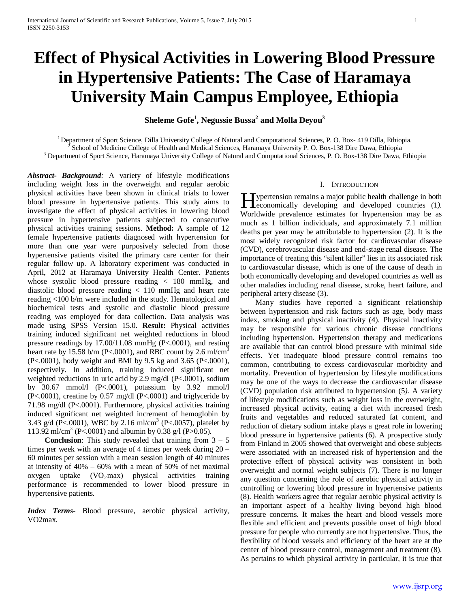# **Effect of Physical Activities in Lowering Blood Pressure in Hypertensive Patients: The Case of Haramaya University Main Campus Employee, Ethiopia**

 $\boldsymbol{\mathrm{S}}$ heleme Gofe $^1$ , Negussie Bussa $^2$  and Molla Deyou $^3$ 

<sup>1</sup> Department of Sport Science, Dilla University College of Natural and Computational Sciences, P. O. Box- 419 Dilla, Ethiopia.<br><sup>2</sup> School of Medicine College of Health and Medical Sciences, Haramaya University P. O. Box-

*Abstract***-** *Background:* A variety of lifestyle modifications including weight loss in the overweight and regular aerobic physical activities have been shown in clinical trials to lower blood pressure in hypertensive patients. This study aims to investigate the effect of physical activities in lowering blood pressure in hypertensive patients subjected to consecutive physical activities training sessions. **Method:** A sample of 12 female hypertensive patients diagnosed with hypertension for more than one year were purposively selected from those hypertensive patients visited the primary care center for their regular follow up. A laboratory experiment was conducted in April, 2012 at Haramaya University Health Center. Patients whose systolic blood pressure reading < 180 mmHg, and diastolic blood pressure reading < 110 mmHg and heart rate reading <100 b/m were included in the study. Hematological and biochemical tests and systolic and diastolic blood pressure reading was employed for data collection. Data analysis was made using SPSS Version 15.0. **Result:** Physical activities training induced significant net weighted reductions in blood pressure readings by 17.00/11.08 mmHg (P<.0001), and resting heart rate by 15.58 b/m (P<.0001), and RBC count by 2.6 ml/cm<sup>3</sup> (P<.0001), body weight and BMI by 9.5 kg and 3.65 (P<.0001), respectively. In addition, training induced significant net weighted reductions in uric acid by 2.9 mg/dl (P<.0001), sodium by 30.67 mmol/l (P<.0001), potassium by 3.92 mmol/l (P<.0001), creatine by 0.57 mg/dl (P<.0001) and triglyceride by 71.98 mg/dl (P<.0001). Furthermore, physical activities training induced significant net weighted increment of hemoglobin by 3.43 g/d (P<.0001), WBC by 2.16 ml/cm<sup>3</sup> (P<.0057), platelet by 113.92 ml/cm<sup>3</sup> (P<.0001) and albumin by 0.38 g/l (P>0.05).

**Conclusion:** This study revealed that training from  $3 - 5$ times per week with an average of 4 times per week during 20 – 60 minutes per session with a mean session length of 40 minutes at intensity of 40% – 60% with a mean of 50% of net maximal oxygen uptake  $(VO_2 \text{max})$  physical activities training performance is recommended to lower blood pressure in hypertensive patients.

*Index Terms*- Blood pressure, aerobic physical activity, VO2max.

#### I. INTRODUCTION

**Typertension remains a major public health challenge in both Exercise Exercise Exercise 2** and the veloped countries (1).<br>
Heconomically developing and developed countries (1). Worldwide prevalence estimates for hypertension may be as much as 1 billion individuals, and approximately 7.1 million deaths per year may be attributable to hypertension (2). It is the most widely recognized risk factor for cardiovascular disease (CVD), cerebrovascular disease and end-stage renal disease. The importance of treating this "silent killer" lies in its associated risk to cardiovascular disease, which is one of the cause of death in both economically developing and developed countries as well as other maladies including renal disease, stroke, heart failure, and peripheral artery disease (3).

 Many studies have reported a significant relationship between hypertension and risk factors such as age, body mass index, smoking and physical inactivity (4). Physical inactivity may be responsible for various chronic disease conditions including hypertension. Hypertension therapy and medications are available that can control blood pressure with minimal side effects. Yet inadequate blood pressure control remains too common, contributing to excess cardiovascular morbidity and mortality. Prevention of hypertension by lifestyle modifications may be one of the ways to decrease the cardiovascular disease (CVD) population risk attributed to hypertension (5*)*. A variety of lifestyle modifications such as weight loss in the overweight, increased physical activity, eating a diet with increased fresh fruits and vegetables and reduced saturated fat content, and reduction of dietary sodium intake plays a great role in lowering blood pressure in hypertensive patients (6). A prospective study from Finland in 2005 showed that overweight and obese subjects were associated with an increased risk of hypertension and the protective effect of physical activity was consistent in both overweight and normal weight subjects (7). There is no longer any question concerning the role of aerobic physical activity in controlling or lowering blood pressure in hypertensive patients (8). Health workers agree that regular aerobic physical activity is an important aspect of a healthy living beyond high blood pressure concerns. It makes the heart and blood vessels more flexible and efficient and prevents possible onset of high blood pressure for people who currently are not hypertensive. Thus, the flexibility of blood vessels and efficiency of the heart are at the center of blood pressure control, management and treatment (8). As pertains to which physical activity in particular, it is true that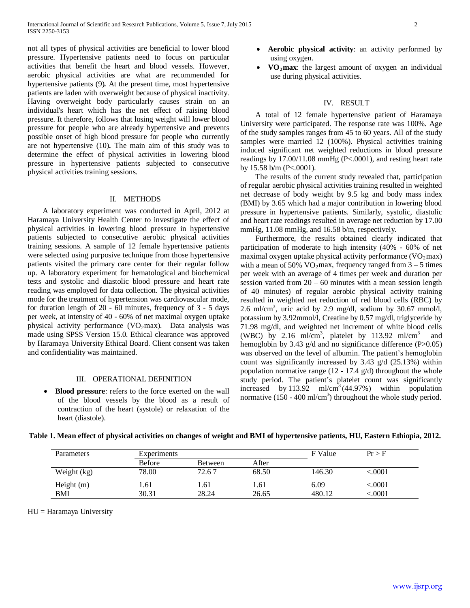not all types of physical activities are beneficial to lower blood pressure. Hypertensive patients need to focus on particular activities that benefit the heart and blood vessels. However, aerobic physical activities are what are recommended for hypertensive patients (9)*.* At the present time, most hypertensive patients are laden with overweight because of physical inactivity. Having overweight body particularly causes strain on an individual's heart which has the net effect of raising blood pressure. It therefore, follows that losing weight will lower blood pressure for people who are already hypertensive and prevents possible onset of high blood pressure for people who currently are not hypertensive (10)*.* The main aim of this study was to determine the effect of physical activities in lowering blood pressure in hypertensive patients subjected to consecutive physical activities training sessions*.*

## II. METHODS

 A laboratory experiment was conducted in April, 2012 at Haramaya University Health Center to investigate the effect of physical activities in lowering blood pressure in hypertensive patients subjected to consecutive aerobic physical activities training sessions. A sample of 12 female hypertensive patients were selected using purposive technique from those hypertensive patients visited the primary care center for their regular follow up. A laboratory experiment for hematological and biochemical tests and systolic and diastolic blood pressure and heart rate reading was employed for data collection*.* The physical activities mode for the treatment of hypertension was cardiovascular mode, for duration length of 20 - 60 minutes, frequency of 3 - 5 days per week, at intensity of 40 - 60% of net maximal oxygen uptake physical activity performance  $(VO_2$ max). Data analysis was made using SPSS Version 15.0. Ethical clearance was approved by Haramaya University Ethical Board. Client consent was taken and confidentiality was maintained.

# III. OPERATIONAL DEFINITION

• **Blood pressure**: refers to the force exerted on the wall of the blood vessels by the blood as a result of contraction of the heart (systole) or relaxation of the heart (diastole).

- **Aerobic physical activity**: an activity performed by using oxygen.
- **VO<sub>2</sub>max**: the largest amount of oxygen an individual use during physical activities.

#### IV. RESULT

 A total of 12 female hypertensive patient of Haramaya University were participated. The response rate was 100%. Age of the study samples ranges from 45 to 60 years. All of the study samples were married 12 (100%). Physical activities training induced significant net weighted reductions in blood pressure readings by 17.00/11.08 mmHg (P<.0001), and resting heart rate by 15.58 b/m (P<.0001).

 The results of the current study revealed that, participation of regular aerobic physical activities training resulted in weighted net decrease of body weight by 9.5 kg and body mass index (BMI) by 3.65 which had a major contribution in lowering blood pressure in hypertensive patients. Similarly, systolic, diastolic and heart rate readings resulted in average net reduction by 17.00 mmHg, 11.08 mmHg, and 16.58 b/m, respectively.

 Furthermore, the results obtained clearly indicated that participation of moderate to high intensity (40% - 60% of net maximal oxygen uptake physical activity performance  $(VO_2 \text{max})$ with a mean of 50%  $VO<sub>2</sub>$  max, frequency ranged from 3 – 5 times per week with an average of 4 times per week and duration per session varied from  $20 - 60$  minutes with a mean session length of 40 minutes) of regular aerobic physical activity training resulted in weighted net reduction of red blood cells (RBC) by 2.6 ml/cm<sup>3</sup>, uric acid by 2.9 mg/dl, sodium by 30.67 mmol/l, potassium by 3.92mmol/l, Creatine by 0.57 mg/dl, triglyceride by 71.98 mg/dl, and weighted net increment of white blood cells (WBC) by 2.16 ml/cm<sup>3</sup>, platelet by 113.92 ml/cm<sup>3</sup> and hemoglobin by 3.43 g/d and no significance difference  $(P>0.05)$ was observed on the level of albumin. The patient's hemoglobin count was significantly increased by 3.43 g/d (25.13%) within population normative range  $(12 - 17.4 \text{ g/d})$  throughout the whole study period. The patient's platelet count was significantly increased by 113.92 ml/cm<sup>3</sup> (44.97%) within population normative  $(150 - 400 \text{ ml/cm}^3)$  throughout the whole study period.

| Parameters   | <b>Experiments</b> |                |       | F Value | $Pr$ > F |
|--------------|--------------------|----------------|-------|---------|----------|
|              | Before             | <b>Between</b> | After |         |          |
| Weight (kg)  | 78.00              | 72.67          | 68.50 | 146.30  | < 0001   |
| Height $(m)$ | .61                | .61            | 1.61  | 6.09    | < 0001   |
| <b>BMI</b>   | 30.31              | 28.24          | 26.65 | 480.12  | < 0001   |

#### **Table 1. Mean effect of physical activities on changes of weight and BMI of hypertensive patients, HU, Eastern Ethiopia, 2012.**

 $HU = Haramaya University$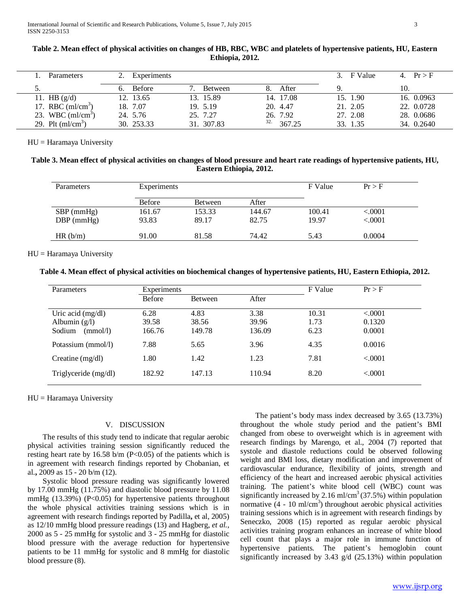| Parameters         | Experiments   |                |               | 3. F Value | 4. $Pr > F$ |
|--------------------|---------------|----------------|---------------|------------|-------------|
|                    | <b>Before</b> | <b>Between</b> | After         |            | 10.         |
| 11. HB $(g/d)$     | 12. 13.65     | 13. 15.89      | 14. 17.08     | 15. 1.90   | 16. 0.0963  |
| 17. RBC $(ml/cm3)$ | 18. 7.07      | 19. 5.19       | 20. 4.47      | 21. 2.05   | 22. 0.0728  |
| 23. WBC $(ml/cm3)$ | 24. 5.76      | 25. 7.27       | 26. 7.92      | 27. 2.08   | 28. 0.0686  |
| 29. Plt $(ml/cm3)$ | 30. 253.33    | 31. 307.83     | 32.<br>367.25 | 33. 1.35   | 34. 0.2640  |

# **Table 2. Mean effect of physical activities on changes of HB, RBC, WBC and platelets of hypertensive patients, HU, Eastern Ethiopia, 2012.**

HU = Haramaya University

# **Table 3. Mean effect of physical activities on changes of blood pressure and heart rate readings of hypertensive patients, HU, Eastern Ethiopia, 2012.**

| Parameters   | Experiments   |                |        | F Value | Pr > F  |
|--------------|---------------|----------------|--------|---------|---------|
|              | <b>Before</b> | <b>Between</b> | After  |         |         |
| $SBP$ (mmHg) | 161.67        | 153.33         | 144.67 | 100.41  | < .0001 |
| $DBP$ (mmHg) | 93.83         | 89.17          | 82.75  | 19.97   | < .0001 |
| HR(b/m)      | 91.00         | 81.58          | 74.42  | 5.43    | 0.0004  |

# HU = Haramaya University

# **Table 4. Mean effect of physical activities on biochemical changes of hypertensive patients, HU, Eastern Ethiopia, 2012.**

| Parameters           | Experiments |         |        | F Value | Pr > F   |
|----------------------|-------------|---------|--------|---------|----------|
|                      | Before      | Between | After  |         |          |
| Uric acid $(mg/dl)$  | 6.28        | 4.83    | 3.38   | 10.31   | < 0.0001 |
| Albumin $(g/l)$      | 39.58       | 38.56   | 39.96  | 1.73    | 0.1320   |
| Sodium<br>(mmol/l)   | 166.76      | 149.78  | 136.09 | 6.23    | 0.0001   |
| Potassium (mmol/l)   | 7.88        | 5.65    | 3.96   | 4.35    | 0.0016   |
| Creatine $(mg/dl)$   | 1.80        | 1.42    | 1.23   | 7.81    | < 0.0001 |
| Triglyceride (mg/dl) | 182.92      | 147.13  | 110.94 | 8.20    | < .0001  |

HU = Haramaya University

# V. DISCUSSION

 The results of this study tend to indicate that regular aerobic physical activities training session significantly reduced the resting heart rate by  $16.58$  b/m (P<0.05) of the patients which is in agreement with research findings reported by Chobanian, et al.**,** 2009 as 15 - 20 b/m (12).

 Systolic blood pressure reading was significantly lowered by 17.00 mmHg (11.75%) and diastolic blood pressure by 11.08 mmHg  $(13.39%)$  (P<0.05) for hypertensive patients throughout the whole physical activities training sessions which is in agreement with research findings reported by Padilla**,** et al, 2005) as 12/10 mmHg blood pressure readings (13) and Hagberg, *et al.*, 2000 as 5 - 25 mmHg for systolic and 3 - 25 mmHg for diastolic blood pressure with the average reduction for hypertensive patients to be 11 mmHg for systolic and 8 mmHg for diastolic blood pressure (8).

 The patient's body mass index decreased by 3.65 (13.73%) throughout the whole study period and the patient's BMI changed from obese to overweight which is in agreement with research findings by Marengo, et al., 2004 (7) reported that systole and diastole reductions could be observed following weight and BMI loss, dietary modification and improvement of cardiovascular endurance, flexibility of joints, strength and efficiency of the heart and increased aerobic physical activities training. The patient's white blood cell (WBC) count was significantly increased by 2.16 ml/cm<sup>3</sup> (37.5%) within population normative  $(4 - 10 \text{ ml/cm}^3)$  throughout aerobic physical activities training sessions which is in agreement with research findings by Seneczko, 2008 (15) reported as regular aerobic physical activities training program enhances an increase of white blood cell count that plays a major role in immune function of hypertensive patients. The patient's hemoglobin count significantly increased by 3.43 g/d (25.13%) within population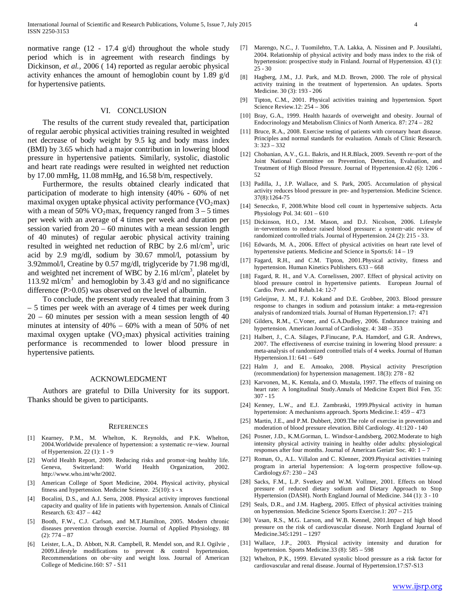normative range  $(12 - 17.4 \text{ g/d})$  throughout the whole study period which is in agreement with research findings by Dickinson*, et al.,* 2006 ( 14) reported as regular aerobic physical activity enhances the amount of hemoglobin count by 1.89 g/d for hypertensive patients.

### VI. CONCLUSION

 The results of the current study revealed that, participation of regular aerobic physical activities training resulted in weighted net decrease of body weight by 9.5 kg and body mass index (BMI) by 3.65 which had a major contribution in lowering blood pressure in hypertensive patients. Similarly, systolic, diastolic and heart rate readings were resulted in weighted net reduction by 17.00 mmHg, 11.08 mmHg, and 16.58 b/m, respectively.

 Furthermore, the results obtained clearly indicated that participation of moderate to high intensity (40% - 60% of net maximal oxygen uptake physical activity performance  $(VO<sub>2</sub>max)$ with a mean of 50%  $VO<sub>2</sub>$  max, frequency ranged from  $3 - 5$  times per week with an average of 4 times per week and duration per session varied from 20 – 60 minutes with a mean session length of 40 minutes) of regular aerobic physical activity training resulted in weighted net reduction of RBC by 2.6 ml/cm<sup>3</sup>, uric acid by 2.9 mg/dl, sodium by 30.67 mmol/l, potassium by 3.92mmol/l, Creatine by 0.57 mg/dl, triglyceride by 71.98 mg/dl, and weighted net increment of WBC by  $2.16 \text{ ml/cm}^3$ , platelet by 113.92 ml/cm<sup>3</sup> and hemoglobin by 3.43 g/d and no significance difference (P>0.05) was observed on the level of albumin.

 To conclude, the present study revealed that training from 3 – 5 times per week with an average of 4 times per week during 20 – 60 minutes per session with a mean session length of 40 minutes at intensity of 40% – 60% with a mean of 50% of net maximal oxygen uptake  $(VO_2$ max) physical activities training performance is recommended to lower blood pressure in hypertensive patients.

#### ACKNOWLEDGMENT

 Authors are grateful to Dilla University for its support. Thanks should be given to participants.

#### **REFERENCES**

- [1] Kearney, P.M., M. Whelton, K. Reynolds, and P.K. Whelton, 2004.Worldwide prevalence of hypertension: a systematic re¬view. Journal of Hypertension. 22 (1): 1 - 9
- [2] World Health Report, 2009. Reducing risks and promot¬ing healthy life. Geneva, Switzerland: World Health Organization, 2002. http://www.who.int/whr/2002.
- [3] American College of Sport Medicine, 2004. Physical activity, physical fitness and hypertension. Medicine Science. 25(10): s - x
- [4] Bocalini, D.S., and A.J. Serra, 2008. Physical activity improves functional capacity and quality of life in patients with hypertension. Annals of Clinical Research. 63: 437 – 442
- [5] Booth, F.W., C.J. Carlson, and M.T.Hamilton, 2005. Modern chronic diseases prevention through exercise. Journal of Applied Physiology. 88  $(2): 774 - 87$
- [6] Leister, L.A., D. Abbott, N.R. Campbell, R. Mendel son, and R.I. Ogilvie , 2009.Lifestyle modifications to prevent & control hypertension. Recommendations on obe¬sity and weight loss. Journal of American College of Medicine.160: S7 - S11
- [7] Marengo, N.C., J. Tuomilehto, T.A. Lakka, A. Nissinen and P. Jousilahti, 2004. Relationship of physical activity and body mass index to the risk of hypertension: prospective study in Finland. Journal of Hypertension. 43 (1): 25 - 30
- [8] Hagberg, J.M., J.J. Park, and M.D. Brown, 2000. The role of physical activity training in the treatment of hypertension. An updates. Sports Medicine. 30 (3): 193 - 206
- [9] Tipton, C.M., 2001. Physical activities training and hypertension. Sport Science Review.12: 254 – 306
- [10] Bray, G.A., 1999. Health hazards of overweight and obesity. Journal of Endocrinology and Metabolism Clinics of North America. 87: 274 – 282
- [11] Bruce, R.A., 2008. Exercise testing of patients with coronary heart disease. Principles and normal standards for evaluation. Annals of Clinic Research. 3: 323 – 332
- [12] Chobanian, A.V., G.L. Bakris, and H.R.Black, 2009. Seventh re¬port of the Joint National Committee on Prevention, Detection, Evaluation, and Treatment of High Blood Pressure. Journal of Hypertension.42 (6): 1206 - 52
- [13] Padilla, J., J.P. Wallace, and S. Park, 2005. Accumulation of physical activity reduces blood pressure in pre- and hypertension. Medicine Science. 37(8):1264-75
- [14] Seneczko, F, 2008.White blood cell count in hypertensive subjects. Acta Physiology Pol. 34: 601 – 610
- [15] Dickinson, H.O., J.M. Mason, and D.J. Nicolson, 2006. Lifestyle in¬terventions to reduce raised blood pressure: a system¬atic review of randomized controlled trials. Journal of Hypertension. 24 (2): 215 - 33.
- [16] Edwards, M. A., 2006. Effect of physical activities on heart rate level of hypertensive patients. Medicine and Science in Sports.6: 14 – 19
- [17] Fagard, R.H., and C.M. Tipton, 2001.Physical activity, fitness and hypertension. Human Kinetics Publishers. 633 – 668
- [18] Fagard, R. H., and V.A. Cornelissen, 2007. Effect of physical activity on blood pressure control in hypertensive patients. European Journal of Cardio. Prev. and Rehab.14: 12-7
- [19] Geleijnse, J. M., F.J. Kokand and D.E. Grobbee, 2003. Blood pressure response to changes in sodium and potassium intake: a meta-regression analysis of randomized trials. Journal of Human Hypertension.17: 471
- [20] Gilders, R.M., C.Voner, and G.A.Dudley, 2006. Endurance training and hypertension. American Journal of Cardiology. 4: 348 – 353
- [21] Halbert, J., C.A. Silages, P.Finucane, P.A. Hamdorf, and G.R. Andrews, 2007. The effectiveness of exercise training in lowering blood pressure: a meta-analysis of randomized controlled trials of 4 weeks. Journal of Human Hypertension.11: 641 – 649
- [22] Halm J, and E. Amoako, 2008. Physical activity Prescription (recommendation) for hypertension management. 18(3): 278 - 82
- [23] Karvonen, M., K. Kentala, and O. Mustala, 1997. The effects of training on heart rate: A longitudinal Study.Annals of Medicine Expert Biol Fen. 35: 307 - 15
- [24] Kenney, L.W., and E.J. Zambraski, 1999.Physical activity in human hypertension: A mechanisms approach. Sports Medicine.1: 459 – 473
- [25] Martin, J.E., and P.M. Dubbert, 2009. The role of exercise in prevention and moderation of blood pressure elevation. Bibl Cardiology. 41:120 - 140
- [26] Posner, J.D., K.M.Gorman, L. Windsor-Landsberg, 2002.Moderate to high intensity physical activity training in healthy older adults: physiological responses after four months. Journal of American Geriatr Soc. 40: 1 – 7
- [27] Roman, O., A.L. Villalon and C. Klenner, 2009.Physical activities training program in arterial hypertension: A log-term prospective follow-up. Cardiology.67: 230 – 243
- [28] Sacks, F.M., L.P. Svetkey and W.M. Vollmer, 2001. Effects on blood pressure of reduced dietary sodium and Dietary Approach to Stop Hypertension (DASH). North England Journal of Medicine. 344 (1): 3 - 10
- [29] Seals, D.R., and J.M. Hagberg, 2005. Effect of physical activities training on hypertension. Medicine Science Sports Exercise.1: 207 – 215
- [30] Vasan, R.S., M.G. Larson, and W.B. Kennel, 2001.Impact of high blood pressure on the risk of cardiovascular disease. North England Journal of Medicine.345:1291 – 1297
- [31] Wallace, J.P., 2003. Physical activity intensity and duration for hypertension. Sports Medicine.33 (8): 585 – 598
- [32] Whelton, P.K., 1999. Elevated systolic blood pressure as a risk factor for cardiovascular and renal disease. Journal of Hypertension.17:S7-S13